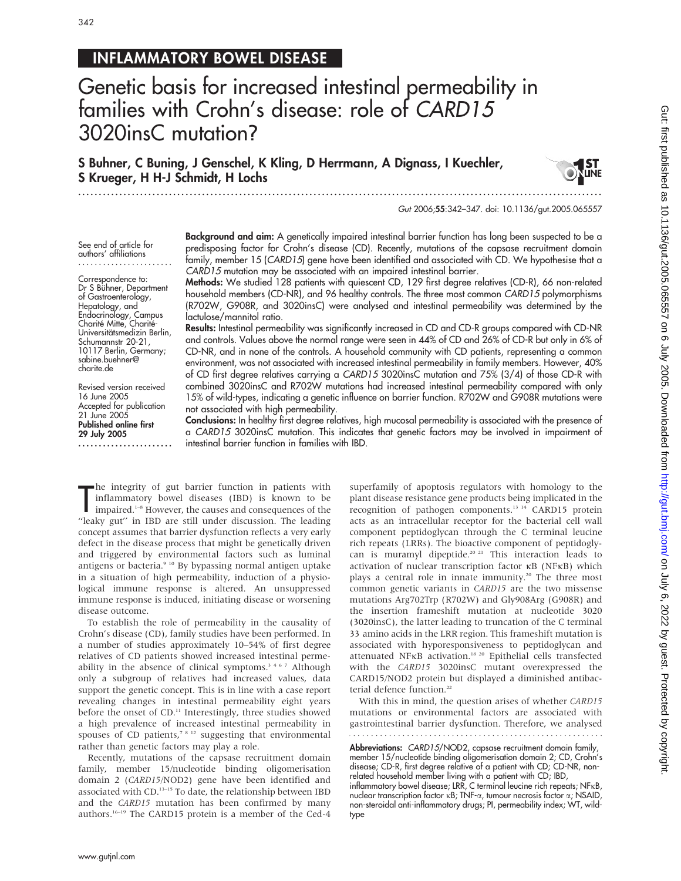# INFLAMMATORY BOWEL DISEASE

# Genetic basis for increased intestinal permeability in families with Crohn's disease: role of CARD15 3020insC mutation?

S Buhner, C Buning, J Genschel, K Kling, D Herrmann, A Dignass, I Kuechler, S Krueger, H H-J Schmidt, H Lochs

.............................................................................................................................. .

Gut 2006;55:342–347. doi: 10.1136/gut.2005.065557

See end of article for authors' affiliations .......................

Correspondence to: Dr S Bühner, Department of Gastroenterology, Hepatology, and Endocrinology, Campus Charité Mitte, Charité-Universitätsmedizin Berlin, Schumannstr 20-21, 10117 Berlin, Germany; sabine.buehner@ charite.de

Revised version received 16 June 2005 Accepted for publication 21 June 2005 Published online first 29 July 2005 ....................... Background and aim: A genetically impaired intestinal barrier function has long been suspected to be a predisposing factor for Crohn's disease (CD). Recently, mutations of the capsase recruitment domain family, member 15 (CARD15) gene have been identified and associated with CD. We hypothesise that a CARD15 mutation may be associated with an impaired intestinal barrier.

Methods: We studied 128 patients with quiescent CD, 129 first degree relatives (CD-R), 66 non-related household members (CD-NR), and 96 healthy controls. The three most common CARD15 polymorphisms (R702W, G908R, and 3020insC) were analysed and intestinal permeability was determined by the lactulose/mannitol ratio.

Results: Intestinal permeability was significantly increased in CD and CD-R groups compared with CD-NR and controls. Values above the normal range were seen in 44% of CD and 26% of CD-R but only in 6% of CD-NR, and in none of the controls. A household community with CD patients, representing a common environment, was not associated with increased intestinal permeability in family members. However, 40% of CD first degree relatives carrying a CARD15 3020insC mutation and 75% (3/4) of those CD-R with combined 3020insC and R702W mutations had increased intestinal permeability compared with only 15% of wild-types, indicating a genetic influence on barrier function. R702W and G908R mutations were not associated with high permeability.

Conclusions: In healthy first degree relatives, high mucosal permeability is associated with the presence of a CARD15 3020insC mutation. This indicates that genetic factors may be involved in impairment of intestinal barrier function in families with IBD.

The integrity of gut barrier function in patients with<br>
inflammatory bowel diseases (IBD) is known to be<br>
impaired.<sup>1-8</sup> However, the causes and consequences of the<br>
"leaky gut" in IBD are still under discussion. The leadi he integrity of gut barrier function in patients with inflammatory bowel diseases (IBD) is known to be impaired.<sup>1-8</sup> However, the causes and consequences of the concept assumes that barrier dysfunction reflects a very early defect in the disease process that might be genetically driven and triggered by environmental factors such as luminal antigens or bacteria.<sup>9 10</sup> By bypassing normal antigen uptake in a situation of high permeability, induction of a physiological immune response is altered. An unsuppressed immune response is induced, initiating disease or worsening disease outcome.

To establish the role of permeability in the causality of Crohn's disease (CD), family studies have been performed. In a number of studies approximately 10–54% of first degree relatives of CD patients showed increased intestinal permeability in the absence of clinical symptoms.<sup>3467</sup> Although only a subgroup of relatives had increased values, data support the genetic concept. This is in line with a case report revealing changes in intestinal permeability eight years before the onset of CD.<sup>11</sup> Interestingly, three studies showed a high prevalence of increased intestinal permeability in spouses of CD patients, $7 s_{12}$  suggesting that environmental rather than genetic factors may play a role.

Recently, mutations of the capsase recruitment domain family, member 15/nucleotide binding oligomerisation domain 2 (CARD15/NOD2) gene have been identified and associated with CD.13–15 To date, the relationship between IBD and the CARD15 mutation has been confirmed by many authors.16–19 The CARD15 protein is a member of the Ced-4

superfamily of apoptosis regulators with homology to the plant disease resistance gene products being implicated in the recognition of pathogen components.<sup>13 14</sup> CARD15 protein acts as an intracellular receptor for the bacterial cell wall component peptidoglycan through the C terminal leucine rich repeats (LRRs). The bioactive component of peptidoglycan is muramyl dipeptide.<sup>20 21</sup> This interaction leads to activation of nuclear transcription factor kB (NFkB) which plays a central role in innate immunity.<sup>20</sup> The three most common genetic variants in CARD15 are the two missense mutations Arg702Trp (R702W) and Gly908Arg (G908R) and the insertion frameshift mutation at nucleotide 3020 (3020insC), the latter leading to truncation of the C terminal 33 amino acids in the LRR region. This frameshift mutation is associated with hyporesponsiveness to peptidoglycan and attenuated NFKB activation.<sup>18 20</sup> Epithelial cells transfected with the CARD15 3020insC mutant overexpressed the CARD15/NOD2 protein but displayed a diminished antibacterial defence function.<sup>22</sup>

With this in mind, the question arises of whether CARD15 mutations or environmental factors are associated with gastrointestinal barrier dysfunction. Therefore, we analysed

Abbreviations: CARD15/NOD2, capsase recruitment domain family, member 15/nucleotide binding oligomerisation domain 2; CD, Crohn's disease; CD-R, first degree relative of a patient with CD; CD-NR, nonrelated household member living with a patient with CD; IBD, inflammatory bowel disease; LRR, C terminal leucine rich repeats; NFkB,

nuclear transcription factor kB; TNF-a, tumour necrosis factor a; NSAID, non-steroidal anti-inflammatory drugs; PI, permeability index; WT, wildtype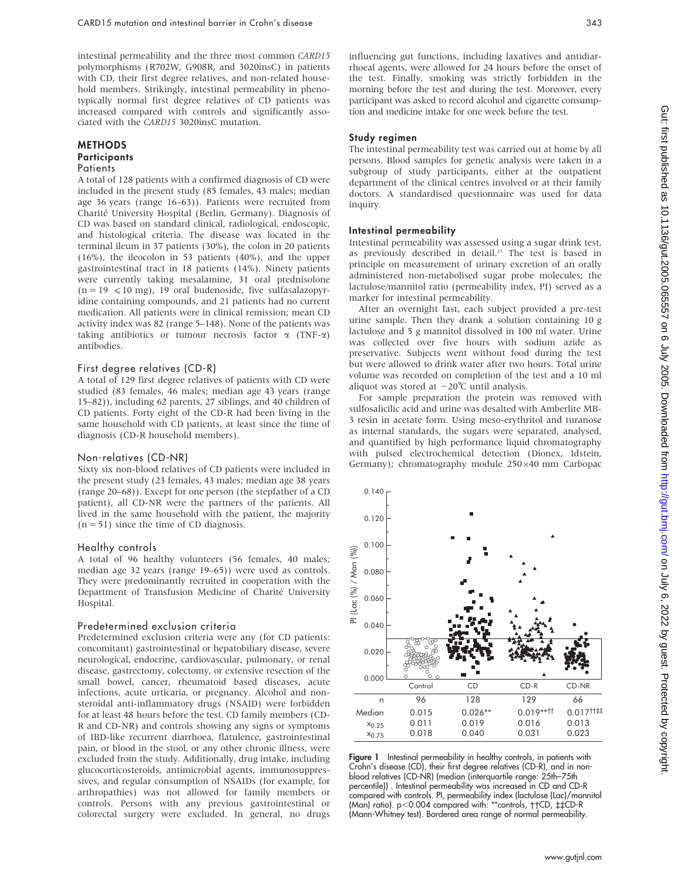intestinal permeability and the three most common CARD15 polymorphisms (R702W, G908R, and 3020insC) in patients with CD, their first degree relatives, and non-related household members. Strikingly, intestinal permeability in phenotypically normal first degree relatives of CD patients was increased compared with controls and significantly associated with the CARD15 3020insC mutation.

#### METHODS **Participants Patients**

A total of 128 patients with a confirmed diagnosis of CD were included in the present study (85 females, 43 males; median age 36 years (range 16–63)). Patients were recruited from Charité University Hospital (Berlin, Germany). Diagnosis of CD was based on standard clinical, radiological, endoscopic, and histological criteria. The disease was located in the terminal ileum in 37 patients (30%), the colon in 20 patients (16%), the ileocolon in 53 patients (40%), and the upper gastrointestinal tract in 18 patients (14%). Ninety patients were currently taking mesalamine, 31 oral prednisolone  $(n = 19 \le 10 \text{ mg})$ , 19 oral budenoside, five sulfasalazopyridine containing compounds, and 21 patients had no current medication. All patients were in clinical remission; mean CD activity index was 82 (range 5–148). None of the patients was taking antibiotics or tumour necrosis factor  $\alpha$  (TNF- $\alpha$ ) antibodies.

#### First degree relatives (CD-R)

A total of 129 first degree relatives of patients with CD were studied (83 females, 46 males; median age 43 years (range 15–82)), including 62 parents, 27 siblings, and 40 children of CD patients. Forty eight of the CD-R had been living in the same household with CD patients, at least since the time of diagnosis (CD-R household members).

#### Non-relatives (CD-NR)

Sixty six non-blood relatives of CD patients were included in the present study (23 females, 43 males; median age 38 years (range 20–68)). Except for one person (the stepfather of a CD patient), all CD-NR were the partners of the patients. All lived in the same household with the patient, the majority  $(n = 51)$  since the time of CD diagnosis.

#### Healthy controls

A total of 96 healthy volunteers (56 females, 40 males; median age 32 years (range 19–65)) were used as controls. They were predominantly recruited in cooperation with the Department of Transfusion Medicine of Charité University Hospital.

#### Predetermined exclusion criteria

Predetermined exclusion criteria were any (for CD patients: concomitant) gastrointestinal or hepatobiliary disease, severe neurological, endocrine, cardiovascular, pulmonary, or renal disease, gastrectomy, colectomy, or extensive resection of the small bowel, cancer, rheumatoid based diseases, acute infections, acute urticaria, or pregnancy. Alcohol and nonsteroidal anti-inflammatory drugs (NSAID) were forbidden for at least 48 hours before the test. CD family members (CD-R and CD-NR) and controls showing any signs or symptoms of IBD-like recurrent diarrhoea, flatulence, gastrointestinal pain, or blood in the stool, or any other chronic illness, were excluded from the study. Additionally, drug intake, including glucocorticosteroids, antimicrobial agents, immunosuppressives, and regular consumption of NSAIDs (for example, for arthropathies) was not allowed for family members or controls. Persons with any previous gastrointestinal or colorectal surgery were excluded. In general, no drugs

influencing gut functions, including laxatives and antidiarrhoeal agents, were allowed for 24 hours before the onset of the test. Finally, smoking was strictly forbidden in the morning before the test and during the test. Moreover, every participant was asked to record alcohol and cigarette consumption and medicine intake for one week before the test.

#### Study regimen

The intestinal permeability test was carried out at home by all persons. Blood samples for genetic analysis were taken in a subgroup of study participants, either at the outpatient department of the clinical centres involved or at their family doctors. A standardised questionnaire was used for data inquiry.

#### Intestinal permeability

Intestinal permeability was assessed using a sugar drink test, as previously described in detail.<sup>23</sup> The test is based in principle on measurement of urinary excretion of an orally administered non-metabolised sugar probe molecules; the lactulose/mannitol ratio (permeability index, PI) served as a marker for intestinal permeability.

After an overnight fast, each subject provided a pre-test urine sample. Then they drank a solution containing 10 g lactulose and 5 g mannitol dissolved in 100 ml water. Urine was collected over five hours with sodium azide as preservative. Subjects went without food during the test but were allowed to drink water after two hours. Total urine volume was recorded on completion of the test and a 10 ml aliquot was stored at  $-20^{\circ}$ C until analysis.

For sample preparation the protein was removed with sulfosalicilic acid and urine was desalted with Amberlite MB-3 resin in acetate form. Using meso-erythritol and turanose as internal standards, the sugars were separated, analysed, and quantified by high performance liquid chromatography with pulsed electrochemical detection (Dionex, Idstein, Germany); chromatography module 250×40 mm Carbopac



**Figure 1** Intestinal permeability in healthy controls, in patients with Crohn's disease (CD), their first degree relatives (CD-R), and in nonblood relatives (CD-NR) (median (interquartile range: 25th–75th percentile)) . Intestinal permeability was increased in CD and CD-R compared with controls. PI, permeability index (lactulose (Lac)/mannitol (Man) ratio). p<0.004 compared with: \*\*controls, ††CD, ‡‡CD-R (Mann-Whitney test). Bordered area range of normal permeability.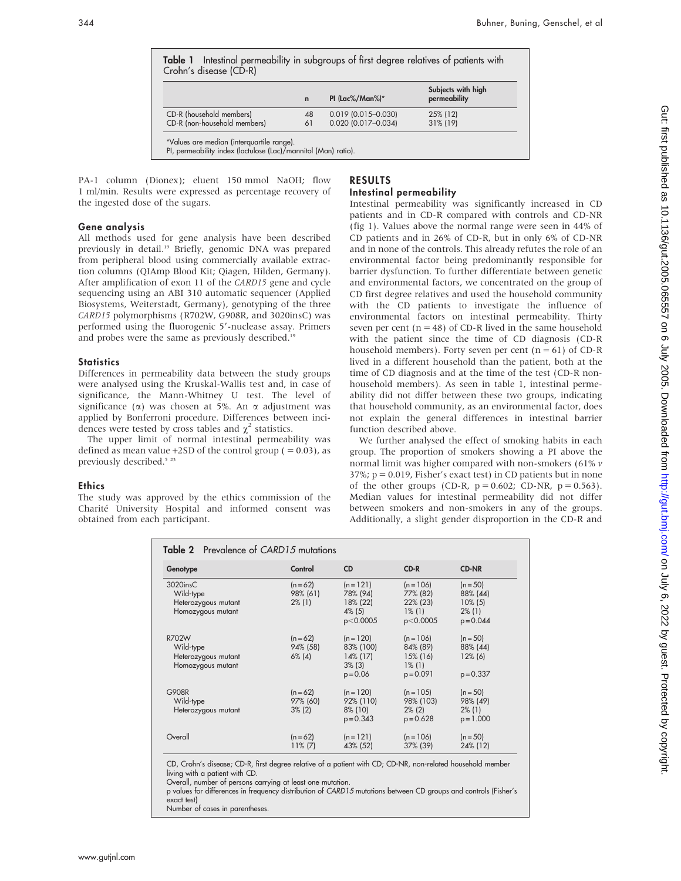|                              |             |                       | Subjects with high |  |
|------------------------------|-------------|-----------------------|--------------------|--|
|                              | $\mathbf n$ | PI (Lac%/Man%)*       | permeability       |  |
| CD-R (household members)     | 48          | $0.019$ (0.015-0.030) | 25% (12)           |  |
| CD-R (non-household members) | 61          | 0.020 (0.017-0.034)   | 31% (19)           |  |

PA-1 column (Dionex); eluent 150 mmol NaOH; flow 1 ml/min. Results were expressed as percentage recovery of the ingested dose of the sugars.

#### Gene analysis

All methods used for gene analysis have been described previously in detail.<sup>19</sup> Briefly, genomic DNA was prepared from peripheral blood using commercially available extraction columns (QIAmp Blood Kit; Qiagen, Hilden, Germany). After amplification of exon 11 of the CARD15 gene and cycle sequencing using an ABI 310 automatic sequencer (Applied Biosystems, Weiterstadt, Germany), genotyping of the three CARD15 polymorphisms (R702W, G908R, and 3020insC) was performed using the fluorogenic 5'-nuclease assay. Primers and probes were the same as previously described.<sup>19</sup>

### **Statistics**

Differences in permeability data between the study groups were analysed using the Kruskal-Wallis test and, in case of significance, the Mann-Whitney U test. The level of significance ( $\alpha$ ) was chosen at 5%. An  $\alpha$  adjustment was applied by Bonferroni procedure. Differences between incidences were tested by cross tables and  $\chi^2$  statistics.

The upper limit of normal intestinal permeability was defined as mean value  $+2SD$  of the control group ( = 0.03), as previously described.<sup>5</sup><sup>23</sup>

# Ethics

The study was approved by the ethics commission of the Charité University Hospital and informed consent was obtained from each participant.

# RESULTS Intestinal permeability

Intestinal permeability was significantly increased in CD patients and in CD-R compared with controls and CD-NR (fig 1). Values above the normal range were seen in 44% of CD patients and in 26% of CD-R, but in only 6% of CD-NR and in none of the controls. This already refutes the role of an environmental factor being predominantly responsible for barrier dysfunction. To further differentiate between genetic and environmental factors, we concentrated on the group of CD first degree relatives and used the household community with the CD patients to investigate the influence of environmental factors on intestinal permeability. Thirty seven per cent ( $n = 48$ ) of CD-R lived in the same household with the patient since the time of CD diagnosis (CD-R household members). Forty seven per cent  $(n = 61)$  of CD-R lived in a different household than the patient, both at the time of CD diagnosis and at the time of the test (CD-R nonhousehold members). As seen in table 1, intestinal permeability did not differ between these two groups, indicating that household community, as an environmental factor, does not explain the general differences in intestinal barrier function described above.

We further analysed the effect of smoking habits in each group. The proportion of smokers showing a PI above the normal limit was higher compared with non-smokers (61% v  $37\%$ ;  $p = 0.019$ , Fisher's exact test) in CD patients but in none of the other groups (CD-R,  $p = 0.602$ ; CD-NR,  $p = 0.563$ ). Median values for intestinal permeability did not differ between smokers and non-smokers in any of the groups. Additionally, a slight gender disproportion in the CD-R and

| <b>Table 2</b> Prevalence of CARD15 mutations                           |                                     |                                                                    |                                                                    |                                                                  |  |
|-------------------------------------------------------------------------|-------------------------------------|--------------------------------------------------------------------|--------------------------------------------------------------------|------------------------------------------------------------------|--|
| Genotype                                                                | Control                             | <b>CD</b>                                                          | $CD-R$                                                             | <b>CD-NR</b>                                                     |  |
| $3020$ ins $C$<br>Wild-type<br>Heterozygous mutant<br>Homozygous mutant | $(n = 62)$<br>98% (61)<br>$2\%$ (1) | $(n=121)$<br>78% (94)<br>18% (22)<br>$4\%$ (5)<br>p<0.0005         | $(n = 106)$<br>77% (82)<br>22% (23)<br>$1\%$ (1)<br>p<0.0005       | $(n = 50)$<br>88% (44)<br>$10\%$ (5)<br>$2\%$ (1)<br>$p = 0.044$ |  |
| R702W<br>Wild-type<br>Heterozygous mutant<br>Homozygous mutant          | $(n = 62)$<br>94% (58)<br>$6\%$ (4) | $(n = 120)$<br>83% (100)<br>$14\%$ (17)<br>$3\%$ (3)<br>$p = 0.06$ | $(n = 106)$<br>84% (89)<br>$15\%$ (16)<br>$1\%$ (1)<br>$p = 0.091$ | $(n = 50)$<br>88% (44)<br>$12\%$ (6)<br>$p = 0.337$              |  |
| G908R<br>Wild-type<br>Heterozygous mutant                               | $(n = 62)$<br>97% (60)<br>$3\%$ (2) | $(n = 120)$<br>92% (110)<br>8% (10)<br>$p = 0.343$                 | $(n = 105)$<br>98% (103)<br>$2\%$ (2)<br>$p = 0.628$               | $(n = 50)$<br>98% (49)<br>$2\%$ (1)<br>$p = 1.000$               |  |
| Overall                                                                 | $(n = 62)$<br>$11\% (7)$            | $(n=121)$<br>43% (52)                                              | $(n = 106)$<br>37% (39)                                            | $(n = 50)$<br>24% (12)                                           |  |

CD, Crohn's disease; CD-R, first degree relative of a patient with CD; CD-NR, non-related household member living with a patient with CD.

Overall, number of persons carrying at least one mutation.

p values for differences in frequency distribution of CARD15 mutations between CD groups and controls (Fisher's exact test)

Number of cases in parentheses.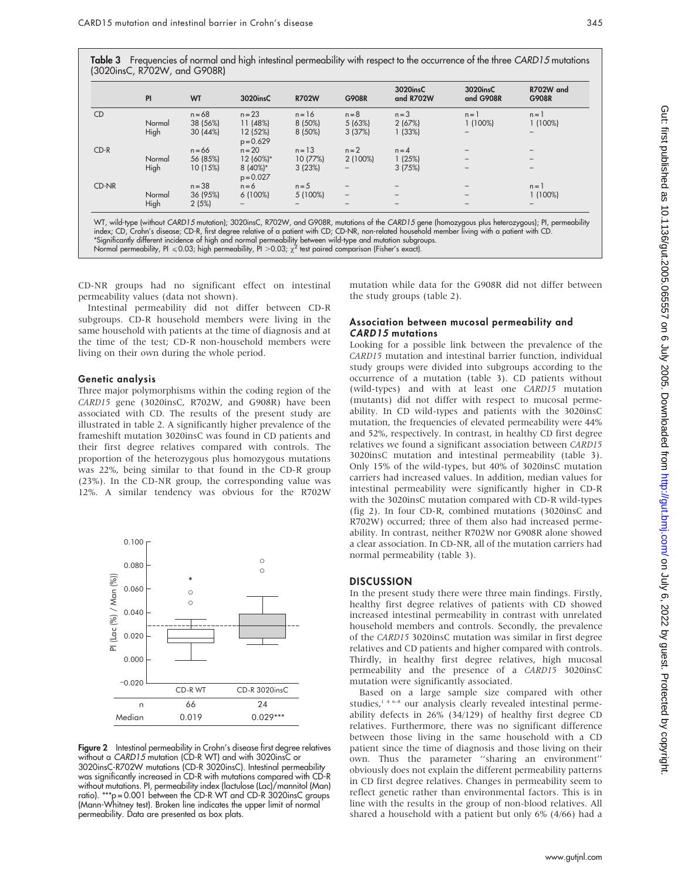Table 3 Frequencies of normal and high intestinal permeability with respect to the occurrence of the three CARD15 mutations (3020insC, R702W, and G908R)

|           | PI     | <b>WT</b> | 3020insC                  | <b>R702W</b> | <b>G908R</b>             | 3020insC<br>and R702W | 3020insC<br>and G908R    | R702W and<br><b>G908R</b> |
|-----------|--------|-----------|---------------------------|--------------|--------------------------|-----------------------|--------------------------|---------------------------|
| <b>CD</b> |        | $n = 68$  | $n = 23$                  | $n = 16$     | $n = 8$                  | $n = 3$               | $n = 1$                  | $n = 1$                   |
|           | Normal | 38 (56%)  | 11(48%)                   | 8 (50%)      | 5(63%)                   | 2(67%)                | 1(100%)                  | $1(100\%)$                |
|           | High   | 30(44%)   | 12 (52%)<br>$p = 0.629$   | 8 (50%)      | 3(37%)                   | 1(33%)                |                          |                           |
| $CD-R$    |        | $n = 66$  | $n = 20$                  | $n = 13$     | $n = 2$                  | $n = 4$               |                          |                           |
|           | Normal | 56 (85%)  | 12 (60%)*                 | 10(77%)      | $2(100\%)$               | 1(25%)                | $\overline{\phantom{0}}$ | -                         |
|           | High   | 10 (15%)  | $8(40\%)*$<br>$p = 0.027$ | 3(23%)       |                          | 3(75%)                |                          |                           |
| CD-NR     |        | $n = 38$  | $n = 6$                   | $n = 5$      |                          |                       |                          | $n = 1$                   |
|           | Normal | 36 (95%)  | $6(100\%)$                | 5 (100%)     | $\overline{\phantom{0}}$ |                       |                          | $1(100\%)$                |
|           | High   | 2(5%)     |                           |              |                          |                       |                          |                           |

index; CD, Crohn's disease; CD-R, first degree relative of a patient with CD; CD-NR, non-related household member living with a patient with CD. \*Significantly different incidence of high and normal permeability between wild-type and mutation subgroups. Normal permeability, PI  $\leq 0.03$ ; high permeability, PI > 0.03;  $\chi^2$  test paired comparison (Fisher's exact).

CD-NR groups had no significant effect on intestinal permeability values (data not shown).

Intestinal permeability did not differ between CD-R subgroups. CD-R household members were living in the same household with patients at the time of diagnosis and at the time of the test; CD-R non-household members were living on their own during the whole period.

#### Genetic analysis

Three major polymorphisms within the coding region of the CARD15 gene (3020insC, R702W, and G908R) have been associated with CD. The results of the present study are illustrated in table 2. A significantly higher prevalence of the frameshift mutation 3020insC was found in CD patients and their first degree relatives compared with controls. The proportion of the heterozygous plus homozygous mutations was 22%, being similar to that found in the CD-R group (23%). In the CD-NR group, the corresponding value was 12%. A similar tendency was obvious for the R702W



Figure 2 Intestinal permeability in Crohn's disease first degree relatives without a CARD15 mutation (CD-R WT) and with 3020insC or 3020insC-R702W mutations (CD-R 3020insC). Intestinal permeability was significantly increased in CD-R with mutations compared with CD-R without mutations. PI, permeability index (lactulose (Lac)/mannitol (Man) ratio). \*\*\*p = 0.001 between the CD-R WT and CD-R 3020insC groups (Mann-Whitney test). Broken line indicates the upper limit of normal permeability. Data are presented as box plats.

mutation while data for the G908R did not differ between the study groups (table 2).

### Association between mucosal permeability and CARD15 mutations

Looking for a possible link between the prevalence of the CARD15 mutation and intestinal barrier function, individual study groups were divided into subgroups according to the occurrence of a mutation (table 3). CD patients without (wild-types) and with at least one CARD15 mutation (mutants) did not differ with respect to mucosal permeability. In CD wild-types and patients with the 3020insC mutation, the frequencies of elevated permeability were 44% and 52%, respectively. In contrast, in healthy CD first degree relatives we found a significant association between CARD15 3020insC mutation and intestinal permeability (table 3). Only 15% of the wild-types, but 40% of 3020insC mutation carriers had increased values. In addition, median values for intestinal permeability were significantly higher in CD-R with the 3020insC mutation compared with CD-R wild-types (fig 2). In four CD-R, combined mutations (3020insC and R702W) occurred; three of them also had increased permeability. In contrast, neither R702W nor G908R alone showed a clear association. In CD-NR, all of the mutation carriers had normal permeability (table 3).

#### **DISCUSSION**

In the present study there were three main findings. Firstly, healthy first degree relatives of patients with CD showed increased intestinal permeability in contrast with unrelated household members and controls. Secondly, the prevalence of the CARD15 3020insC mutation was similar in first degree relatives and CD patients and higher compared with controls. Thirdly, in healthy first degree relatives, high mucosal permeability and the presence of a CARD15 3020insC mutation were significantly associated.

Based on a large sample size compared with other studies,<sup>146-8</sup> our analysis clearly revealed intestinal permeability defects in 26% (34/129) of healthy first degree CD relatives. Furthermore, there was no significant difference between those living in the same household with a CD patient since the time of diagnosis and those living on their own. Thus the parameter ''sharing an environment'' obviously does not explain the different permeability patterns in CD first degree relatives. Changes in permeability seem to reflect genetic rather than environmental factors. This is in line with the results in the group of non-blood relatives. All shared a household with a patient but only 6% (4/66) had a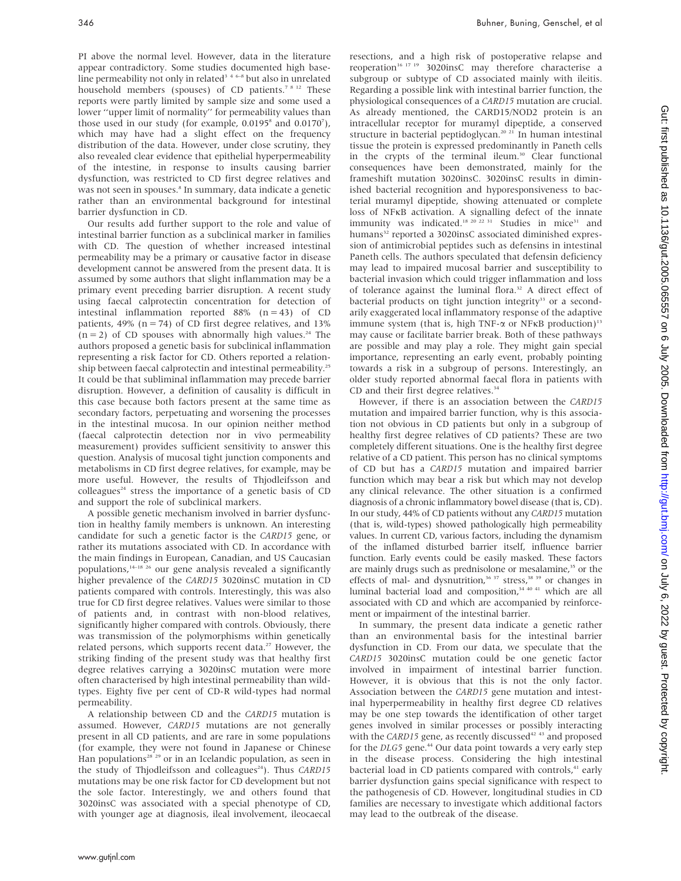PI above the normal level. However, data in the literature appear contradictory. Some studies documented high baseline permeability not only in related<sup>346-8</sup> but also in unrelated household members (spouses) of CD patients.<sup>78 12</sup> These reports were partly limited by sample size and some used a lower ''upper limit of normality'' for permeability values than those used in our study (for example,  $0.0195<sup>s</sup>$  and  $0.0170<sup>7</sup>$ ), which may have had a slight effect on the frequency distribution of the data. However, under close scrutiny, they also revealed clear evidence that epithelial hyperpermeability of the intestine, in response to insults causing barrier dysfunction, was restricted to CD first degree relatives and was not seen in spouses.<sup>8</sup> In summary, data indicate a genetic rather than an environmental background for intestinal barrier dysfunction in CD.

Our results add further support to the role and value of intestinal barrier function as a subclinical marker in families with CD. The question of whether increased intestinal permeability may be a primary or causative factor in disease development cannot be answered from the present data. It is assumed by some authors that slight inflammation may be a primary event preceding barrier disruption. A recent study using faecal calprotectin concentration for detection of intestinal inflammation reported  $88\%$  (n = 43) of CD patients, 49% ( $n = 74$ ) of CD first degree relatives, and 13%  $(n = 2)$  of CD spouses with abnormally high values.<sup>24</sup> The authors proposed a genetic basis for subclinical inflammation representing a risk factor for CD. Others reported a relationship between faecal calprotectin and intestinal permeability.<sup>25</sup> It could be that subliminal inflammation may precede barrier disruption. However, a definition of causality is difficult in this case because both factors present at the same time as secondary factors, perpetuating and worsening the processes in the intestinal mucosa. In our opinion neither method (faecal calprotectin detection nor in vivo permeability measurement) provides sufficient sensitivity to answer this question. Analysis of mucosal tight junction components and metabolisms in CD first degree relatives, for example, may be more useful. However, the results of Thjodleifsson and  $colleagues<sup>24</sup>$  stress the importance of a genetic basis of CD and support the role of subclinical markers.

A possible genetic mechanism involved in barrier dysfunction in healthy family members is unknown. An interesting candidate for such a genetic factor is the CARD15 gene, or rather its mutations associated with CD. In accordance with the main findings in European, Canadian, and US Caucasian populations, $14-18$   $26$  our gene analysis revealed a significantly higher prevalence of the CARD15 3020insC mutation in CD patients compared with controls. Interestingly, this was also true for CD first degree relatives. Values were similar to those of patients and, in contrast with non-blood relatives, significantly higher compared with controls. Obviously, there was transmission of the polymorphisms within genetically related persons, which supports recent data.<sup>27</sup> However, the striking finding of the present study was that healthy first degree relatives carrying a 3020insC mutation were more often characterised by high intestinal permeability than wildtypes. Eighty five per cent of CD-R wild-types had normal permeability.

A relationship between CD and the CARD15 mutation is assumed. However, CARD15 mutations are not generally present in all CD patients, and are rare in some populations (for example, they were not found in Japanese or Chinese Han populations<sup>28</sup><sup>29</sup> or in an Icelandic population, as seen in the study of Thjodleifsson and colleagues<sup>24</sup>). Thus CARD15 mutations may be one risk factor for CD development but not the sole factor. Interestingly, we and others found that 3020insC was associated with a special phenotype of CD, with younger age at diagnosis, ileal involvement, ileocaecal

resections, and a high risk of postoperative relapse and reoperation<sup>16</sup> <sup>17</sup> <sup>19</sup> 3020insC may therefore characterise a subgroup or subtype of CD associated mainly with ileitis. Regarding a possible link with intestinal barrier function, the physiological consequences of a CARD15 mutation are crucial. As already mentioned, the CARD15/NOD2 protein is an intracellular receptor for muramyl dipeptide, a conserved structure in bacterial peptidoglycan.<sup>20</sup><sup>21</sup> In human intestinal tissue the protein is expressed predominantly in Paneth cells in the crypts of the terminal ileum.<sup>30</sup> Clear functional consequences have been demonstrated, mainly for the frameshift mutation 3020insC. 3020insC results in diminished bacterial recognition and hyporesponsiveness to bacterial muramyl dipeptide, showing attenuated or complete loss of NFkB activation. A signalling defect of the innate immunity was indicated.<sup>18 20</sup> <sup>22 31</sup> Studies in mice<sup>31</sup> and humans<sup>32</sup> reported a 3020insC associated diminished expression of antimicrobial peptides such as defensins in intestinal Paneth cells. The authors speculated that defensin deficiency may lead to impaired mucosal barrier and susceptibility to bacterial invasion which could trigger inflammation and loss of tolerance against the luminal flora.<sup>32</sup> A direct effect of bacterial products on tight junction integrity<sup>33</sup> or a secondarily exaggerated local inflammatory response of the adaptive immune system (that is, high TNF- $\alpha$  or NFKB production)<sup>13</sup> may cause or facilitate barrier break. Both of these pathways are possible and may play a role. They might gain special importance, representing an early event, probably pointing towards a risk in a subgroup of persons. Interestingly, an older study reported abnormal faecal flora in patients with CD and their first degree relatives.<sup>34</sup>

However, if there is an association between the CARD15 mutation and impaired barrier function, why is this association not obvious in CD patients but only in a subgroup of healthy first degree relatives of CD patients? These are two completely different situations. One is the healthy first degree relative of a CD patient. This person has no clinical symptoms of CD but has a CARD15 mutation and impaired barrier function which may bear a risk but which may not develop any clinical relevance. The other situation is a confirmed diagnosis of a chronic inflammatory bowel disease (that is, CD). In our study, 44% of CD patients without any CARD15 mutation (that is, wild-types) showed pathologically high permeability values. In current CD, various factors, including the dynamism of the inflamed disturbed barrier itself, influence barrier function. Early events could be easily masked. These factors are mainly drugs such as prednisolone or mesalamine,<sup>35</sup> or the effects of mal- and dysnutrition,<sup>36 37</sup> stress,<sup>38 39</sup> or changes in luminal bacterial load and composition,<sup>34 40 41</sup> which are all associated with CD and which are accompanied by reinforcement or impairment of the intestinal barrier.

In summary, the present data indicate a genetic rather than an environmental basis for the intestinal barrier dysfunction in CD. From our data, we speculate that the CARD15 3020insC mutation could be one genetic factor involved in impairment of intestinal barrier function. However, it is obvious that this is not the only factor. Association between the CARD15 gene mutation and intestinal hyperpermeability in healthy first degree CD relatives may be one step towards the identification of other target genes involved in similar processes or possibly interacting with the CARD15 gene, as recently discussed<sup>42 43</sup> and proposed for the DLG5 gene.<sup>44</sup> Our data point towards a very early step in the disease process. Considering the high intestinal bacterial load in CD patients compared with controls,<sup>41</sup> early barrier dysfunction gains special significance with respect to the pathogenesis of CD. However, longitudinal studies in CD families are necessary to investigate which additional factors may lead to the outbreak of the disease.